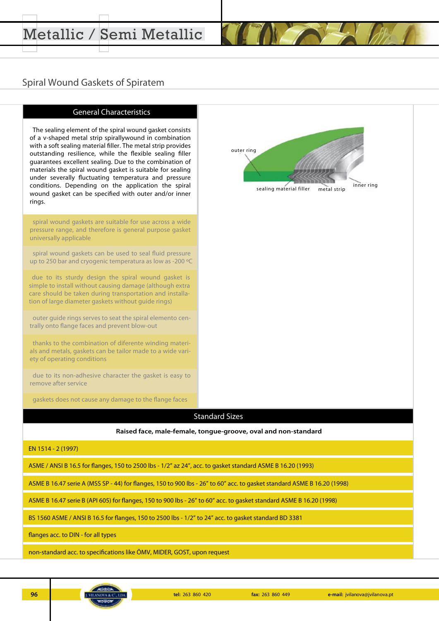### Spiral Wound Gaskets of Spiratem



ASME B 16.47 serie A (MSS SP - 44) for flanges, 150 to 900 lbs - 26" to 60" acc. to gasket standard ASME B 16.20 (1998)

ASME B 16.47 serie B (API 605) for flanges, 150 to 900 lbs - 26" to 60" acc. to gasket standard ASME B 16.20 (1998)

BS 1560 ASME / ANSI B 16.5 for flanges, 150 to 2500 lbs - 1/2" to 24" acc. to gasket standard BD 3381

flanges acc. to DIN - for all types

non-standard acc. to specifications like ÖMV, MIDER, GOST, upon request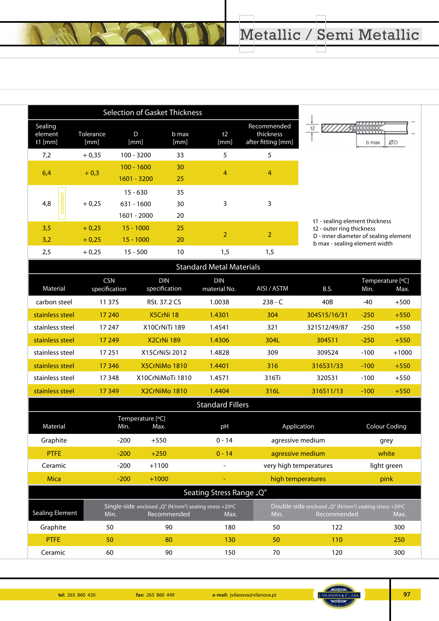|                                                |                    | <b>Selection of Gasket Thickness</b>      |                |                |                                                |                |
|------------------------------------------------|--------------------|-------------------------------------------|----------------|----------------|------------------------------------------------|----------------|
| Sealing<br>element<br>$t1$ [mm]                | Tolerance<br>[mm]  | D<br>[mm]                                 | b max<br>[mm]  | t2<br>[mm]     | Recommended<br>thickness<br>after fitting [mm] | $\frac{1}{12}$ |
| 7,2                                            | $+0.35$            | 100 - 3200                                | 33             | 5              | 5                                              |                |
| 6,4                                            | $+0,3$             | $100 - 1600$<br>$1601 - 3200$             | 30<br>25       | 4              | 4                                              |                |
| ਹ<br>ă<br>4,8<br>ਹ<br>$\overline{\sigma}$<br>ಜ | $+0,25$            | $15 - 630$<br>$631 - 1600$<br>1601 - 2000 | 35<br>30<br>20 | 3              | 3                                              |                |
| 3,5<br>3,2                                     | $+0.25$<br>$+0,25$ | $15 - 1000$<br>$15 - 1000$                | 25<br>20       | $\overline{2}$ | $\overline{2}$                                 | t              |
| 2,5                                            | $+0.25$            | $15 - 500$                                | 10             | 1,5            | 1,5                                            |                |

# <u>. 7777711222222</u> ØD b max

t1 - sealing element thickness

t2 - outer ring thickness

b max - sealing element width

| <b>Standard Metal Materials</b> |                                  |                                                                                   |                            |                        |                                                                                   |        |                          |
|---------------------------------|----------------------------------|-----------------------------------------------------------------------------------|----------------------------|------------------------|-----------------------------------------------------------------------------------|--------|--------------------------|
| Material                        | <b>CSN</b><br>specification      | <b>DIN</b><br>specification                                                       | <b>DIN</b><br>material No. | AISI / ASTM            | B.S.                                                                              | Min.   | Temperature [°C]<br>Max. |
| carbon steel                    | 11 375                           | RSt. 37.2 CS                                                                      | 1.0038                     | $238 - C$              | 40B                                                                               | $-40$  | $+500$                   |
| stainless steel                 | 17 240                           | X5CrNi 18                                                                         | 1.4301                     | 304                    | 304S15/16/31                                                                      | $-250$ | $+550$                   |
| stainless steel                 | 17 247                           | X10CrNiTi 189                                                                     | 1.4541                     | 321                    | 321S12/49/87                                                                      | $-250$ | $+550$                   |
| stainless steel                 | 17 249                           | X2CrNi 189                                                                        | 1.4306                     | 304L                   | 304S11                                                                            | $-250$ | $+550$                   |
| stainless steel                 | 17 25 1                          | X15CrNiSi 2012                                                                    | 1.4828                     | 309                    | 309S24                                                                            | $-100$ | $+1000$                  |
| stainless steel                 | 17 3 46                          | X5CrNiMo 1810                                                                     | 1.4401                     | 316                    | 316S31/33                                                                         | $-100$ | $+550$                   |
| stainless steel                 | 17 348                           | X10CrNiMoTi 1810                                                                  | 1.4571                     | 316Ti                  | 320531                                                                            | $-100$ | $+550$                   |
| stainless steel                 | 17 349                           | X2CrNiMo 1810                                                                     | 1.4404                     | 316L                   | 316S11/13                                                                         | $-100$ | $+550$                   |
| <b>Standard Fillers</b>         |                                  |                                                                                   |                            |                        |                                                                                   |        |                          |
| Material                        | Temperature [°C]<br>Min.<br>Max. |                                                                                   | pH                         |                        | Application                                                                       |        | <b>Colour Coding</b>     |
| Graphite                        | $-200$<br>$+550$                 |                                                                                   | $0 - 14$                   |                        | agressive medium                                                                  |        | grey                     |
| <b>PTFE</b>                     | $-200$                           | $+250$                                                                            | $0 - 14$                   |                        | agressive medium                                                                  |        | white                    |
| Ceramic                         | $-200$                           | $+1100$                                                                           |                            | very high temperatures |                                                                                   |        | light green              |
| <b>Mica</b>                     | $-200$                           | $+1000$                                                                           |                            | high temperatures      |                                                                                   |        | pink                     |
| Seating Stress Range "Q"        |                                  |                                                                                   |                            |                        |                                                                                   |        |                          |
| <b>Sealing Element</b>          | Min.                             | Single-side enclosed "Q" (N/mm <sup>2</sup> ) seating stress +20°C<br>Recommended | Max.                       | Min.                   | Double-side enclosed "Q" (N/mm <sup>2</sup> ) seating stress +20°C<br>Recommended |        | Max.                     |
| Graphite                        | 50                               | 90                                                                                | 180                        | 50                     | 122                                                                               |        | 300                      |
| <b>PTFE</b>                     | 50                               | 80                                                                                | 130                        | 50                     | 110                                                                               |        | 250                      |
| Ceramic                         | 60                               | 90                                                                                | 150                        | 70                     | 120                                                                               |        | 300                      |



D - inner diameter of sealing element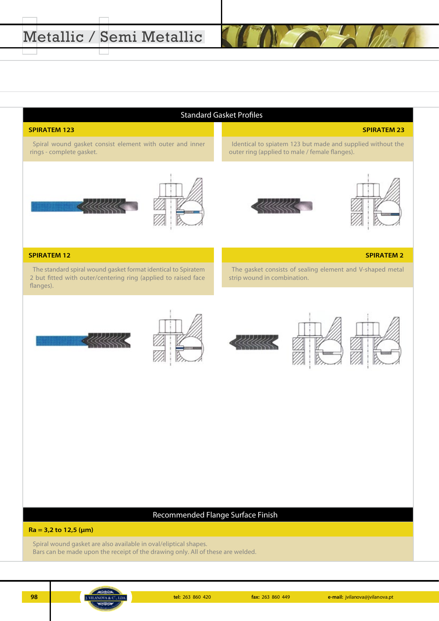#### Standard Gasket Profiles

#### **SPIRATEM 123 SPIRATEM 23**

Spiral wound gasket consist element with outer and inner rings - complete gasket.



Identical to spiatem 123 but made and supplied without the



outer ring (applied to male / female flanges).



#### **SPIRATEM 12 SPIRATEM 2**

The standard spiral wound gasket format identical to Spiratem 2 but fitted with outer/centering ring (applied to raised face flanges).

The gasket consists of sealing element and V-shaped metal strip wound in combination.











#### Recommended Flange Surface Finish

**Ra = 3,2 to 12,5 (μm)**

Spiral wound gasket are also available in oval/eliptical shapes. Bars can be made upon the receipt of the drawing only. All of these are welded.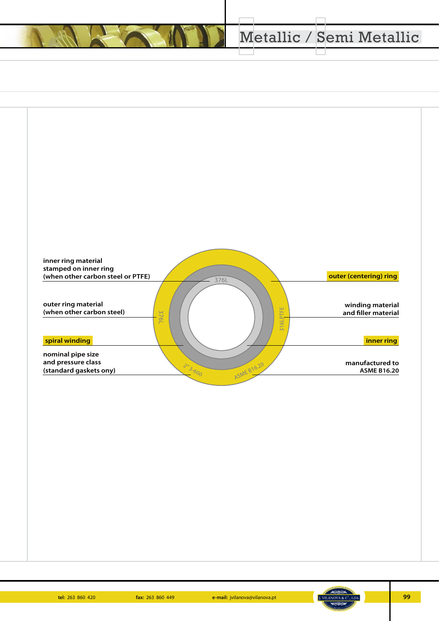# Metallic / Semi Metallic



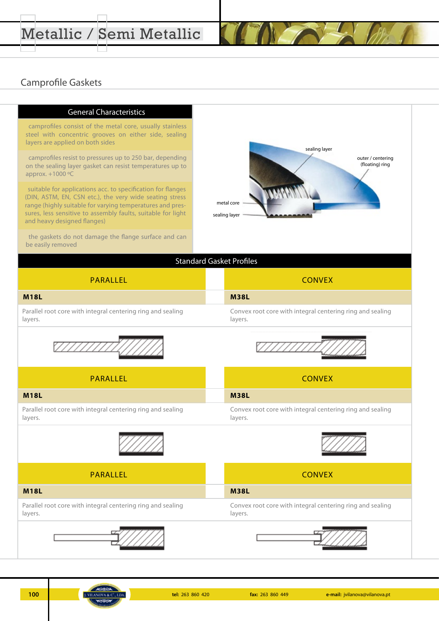# Metallic / Semi Metallic

### Camprofile Gaskets

#### **General Characteristics**

camprofiles consist of the metal core, usually stainless steel with concentric grooves on either side, sealing layers are applied on both sides

camprofiles resist to pressures up to 250 bar, depending on the sealing layer gasket can resist temperatures up to approx. +1000 ºC

suitable for applications acc. to specification for flanges (DIN, ASTM, EN, CSN etc.), the very wide seating stress range (highly suitable for varying temperatures and pressures, less sensitive to assembly faults, suitable for light and heavy designed flanges)

the gaskets do not damage the flange surface and can be easily removed



#### **Standard Gasket Profiles**

| PARALLEL                                                               | <b>CONVEX</b>                                                        |  |
|------------------------------------------------------------------------|----------------------------------------------------------------------|--|
| <b>M18L</b>                                                            | <b>M38L</b>                                                          |  |
| Parallel root core with integral centering ring and sealing<br>layers. | Convex root core with integral centering ring and sealing<br>layers. |  |





PARALLEL **CONVEX** 

| <b>M18L</b>                                                 | <b>M38L</b>                                               |
|-------------------------------------------------------------|-----------------------------------------------------------|
| Parallel root core with integral centering ring and sealing | Convex root core with integral centering ring and sealing |
| layers.                                                     | lavers.                                                   |





PARALLEL **PARALLEL CONVEX** 

Parallel root core with integral centering ring and sealing Convex root core with integral centering ring and sealing layers. **M18L M38L**





layers.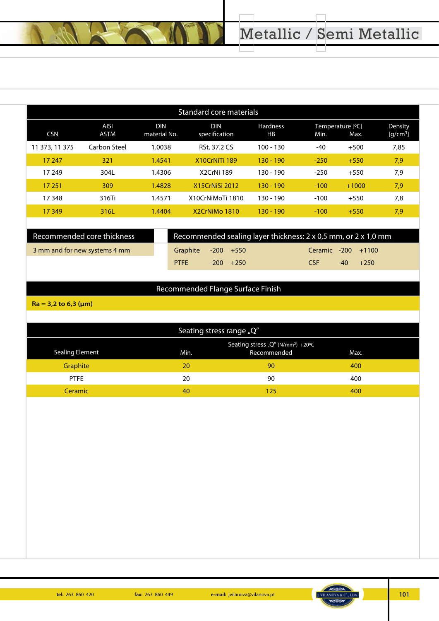| <b>Standard core materials</b> |                            |                             |                       |        |         |                                 |  |  |  |
|--------------------------------|----------------------------|-----------------------------|-----------------------|--------|---------|---------------------------------|--|--|--|
| <b>AISI</b><br><b>ASTM</b>     | <b>DIN</b><br>material No. | <b>DIN</b><br>specification | <b>Hardness</b><br>HB | Min.   | Max.    | Density<br>[g/cm <sup>3</sup> ] |  |  |  |
| Carbon Steel                   | 1.0038                     | <b>RSt. 37.2 CS</b>         | $100 - 130$           | $-40$  | $+500$  | 7,85                            |  |  |  |
| 321                            | 1.4541                     | X10CrNiTi 189               | $130 - 190$           | $-250$ | $+550$  | 7,9                             |  |  |  |
| 304L                           | 1.4306                     | X2CrNi 189                  | 130 - 190             | $-250$ | $+550$  | 7,9                             |  |  |  |
| 309                            | 1.4828                     | <b>X15CrNiSi 2012</b>       | $130 - 190$           | $-100$ | $+1000$ | 7,9                             |  |  |  |
| 316Ti                          | 1.4571                     | X10CrNiMoTi 1810            | $130 - 190$           | $-100$ | $+550$  | 7,8                             |  |  |  |
| 316L                           | 1.4404                     | X2CrNiMo 1810               | $130 - 190$           | $-100$ | $+550$  | 7,9                             |  |  |  |
|                                |                            |                             |                       |        |         | Temperature [°C]                |  |  |  |

| Recommended core thickness    | Recommended sealing layer thickness: 2 x 0,5 mm, or 2 x 1,0 mm |  |              |  |                    |            |  |
|-------------------------------|----------------------------------------------------------------|--|--------------|--|--------------------|------------|--|
| 3 mm and for new systems 4 mm | Graphite $-200 + 550$                                          |  |              |  | Ceramic -200 +1100 |            |  |
|                               | <b>PTFF</b>                                                    |  | $-200 + 250$ |  | <b>CSE</b>         | $-40 +250$ |  |

### Recommended Flange Surface Finish

**Ra = 3,2 to 6,3 (μm)**

| Seating stress range "Q" |      |                                                              |      |  |  |
|--------------------------|------|--------------------------------------------------------------|------|--|--|
| Sealing Element          | Min. | Seating stress "Q" (N/mm <sup>2</sup> ) +20°C<br>Recommended | Max. |  |  |
| <b>Graphite</b>          | 20   | 90                                                           | 400  |  |  |
| <b>PTFE</b>              | 20   | 90                                                           | 400  |  |  |
| Ceramic                  | 40   | 125                                                          | 400  |  |  |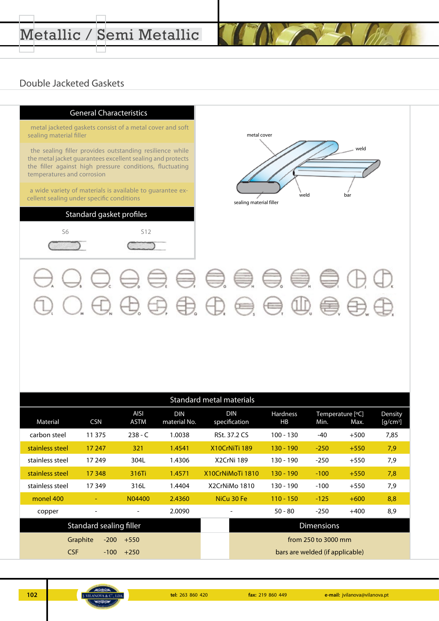# Metallic / Semi Metallic

### Double Jacketed Gaskets

#### **General Characteristics**

metal jacketed gaskets consist of a metal cover and soft sealing material filler

the sealing filler provides outstanding resilience while the metal jacket guarantees excellent sealing and protects the filler against high pressure conditions, fluctuating temperatures and corrosion

a wide variety of materials is available to guarantee excellent sealing under specific conditions

### Standard gasket profiles





 $Q_1 Q_2 Q_3 Q_4 Q_5 Q_5 Q_6 Q_7 Q_8 Q_9 Q_1 Q_2 Q_2 Q_3 Q_4 Q_4 Q_5 Q_6 Q_7 Q_7 Q_8 Q_8 Q_9 Q_1 Q_2 Q_2 Q_3 Q_4 Q_4 Q_5 Q_7 Q_7 Q_8 Q_8 Q_1 Q_2 Q_2 Q_3 Q_4 Q_4 Q_5 Q_7 Q_7 Q_8 Q_8 Q_1 Q_2 Q_4 Q_5 Q_6 Q_7 Q_7 Q_8 Q_8 Q_1 Q_1 Q_2 Q_2 Q_3 Q_4 Q_4 Q_5 Q_6 Q_7 Q_7 Q_8 Q_7 Q_8 Q_1 Q_1 Q_2 Q_4 Q_5 Q$ 

| Standard metal materials |                    |                            |                            |                             |                       |                                 |                          |                       |
|--------------------------|--------------------|----------------------------|----------------------------|-----------------------------|-----------------------|---------------------------------|--------------------------|-----------------------|
| Material                 | <b>CSN</b>         | <b>AISI</b><br><b>ASTM</b> | <b>DIN</b><br>material No. | <b>DIN</b><br>specification | <b>Hardness</b><br>HB | Min.                            | Temperature [°C]<br>Max. | Density<br>$[g/cm^3]$ |
| carbon steel             | 11 375             | $238 - C$                  | 1.0038                     | RSt. 37.2 CS                | 100 - 130             | $-40$                           | $+500$                   | 7,85                  |
| stainless steel          | 17 247             | 321                        | 1.4541                     | X10CrNiTi 189               | $130 - 190$           | $-250$                          | $+550$                   | 7,9                   |
| stainless steel          | 17 249             | 304L                       | 1.4306                     | X2CrNi 189                  | 130 - 190             | $-250$                          | $+550$                   | 7,9                   |
| stainless steel          | 17 348             | 316Ti                      | 1.4571                     | X10CrNiMoTi 1810            | $130 - 190$           | $-100$                          | $+550$                   | 7,8                   |
| stainless steel          | 17349              | 316L                       | 1.4404                     | X2CrNiMo 1810               | $130 - 190$           | $-100$                          | $+550$                   | 7,9                   |
| monel 400                |                    | N04400                     | 2.4360                     | NiCu 30 Fe                  | $110 - 150$           | $-125$                          | $+600$                   | 8,8                   |
| copper                   |                    |                            | 2.0090                     |                             | $50 - 80$             | $-250$                          | $+400$                   | 8,9                   |
| Standard sealing filler  |                    |                            |                            |                             | <b>Dimensions</b>     |                                 |                          |                       |
|                          | Graphite<br>$-200$ | $+550$                     |                            |                             |                       | from 250 to 3000 mm             |                          |                       |
| <b>CSF</b>               | $-100$             | $+250$                     |                            |                             |                       | bars are welded (if applicable) |                          |                       |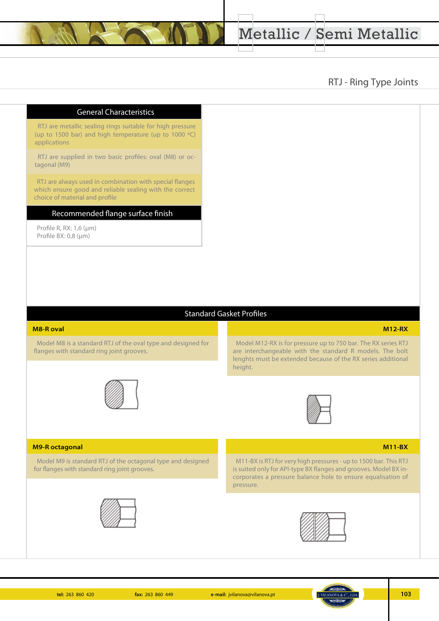### RTJ - Ring Type Joints

#### **General Characteristics**

RTJ are metallic sealing rings suitable for high pressure (up to 1500 bar) and high temperature (up to 1000 ºC) applications

RTJ are supplied in two basic profiles: oval (M8) or octagonal (M9)

RTJ are always used in combination with special flanges which ensure good and reliable sealing with the correct choice of material and profile

#### Recommended flange surface finish

Profile R, RX: 1,6 (μm) Profile BX: 0,8 (μm)

#### Standard Gasket Profiles

#### **M8-R oval M12-RX**

Model M8 is a standard RTJ of the oval type and designed for flanges with standard ring joint grooves.



Model M12-RX is for pressure up to 750 bar. The RX series RTJ are interchangeable with the standard R models. The bolt lenghts must be extended because of the RX series additional height.



#### **M9-R octagonal M11-BX**

W Model M9 is standard RTJ of the octagonal type and designed for flanges with standard ring joint grooves.





M11-BX is RTJ for very high pressures - up to 1500 bar. This RTJ is suited only for API-type BX flanges and grooves. Model BX incorporates a pressure balance hole to ensure equalisation of pressure.

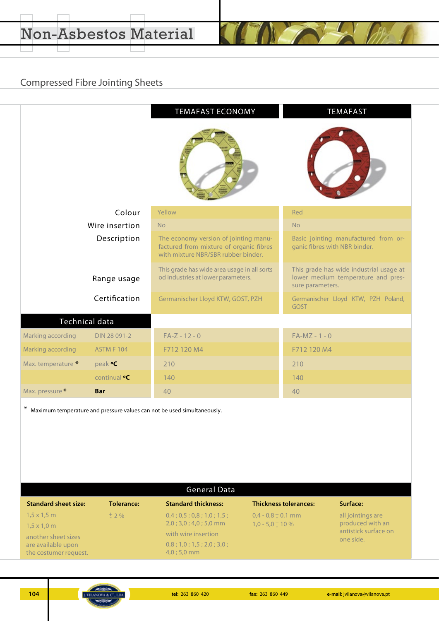# Compressed Fibre Jointing Sheets

| <b>TEMAFAST ECONOMY</b><br><b>TEMAFAST</b> |                          |                                                                                                                         |                                                                                                   |  |  |  |
|--------------------------------------------|--------------------------|-------------------------------------------------------------------------------------------------------------------------|---------------------------------------------------------------------------------------------------|--|--|--|
|                                            | Colour                   | Yellow                                                                                                                  | Red                                                                                               |  |  |  |
|                                            | Wire insertion           | N <sub>o</sub>                                                                                                          | <b>No</b>                                                                                         |  |  |  |
|                                            | Description              | The economy version of jointing manu-<br>factured from mixture of organic fibres<br>with mixture NBR/SBR rubber binder. | Basic jointing manufactured from or-<br>ganic fibres with NBR binder.                             |  |  |  |
|                                            | Range usage              | This grade has wide area usage in all sorts<br>od industries at lower parameters.                                       | This grade has wide industrial usage at<br>lower medium temperature and pres-<br>sure parameters. |  |  |  |
|                                            | Certification            | Germanischer Lloyd KTW, GOST, PZH                                                                                       | Germanischer Lloyd KTW, PZH Poland,<br><b>GOST</b>                                                |  |  |  |
|                                            | Technical data           |                                                                                                                         |                                                                                                   |  |  |  |
| Marking according                          | DIN 28 091-2             | $FA-Z - 12 - 0$                                                                                                         | $FA-MZ - 1 - 0$                                                                                   |  |  |  |
| Marking according                          | <b>ASTM F 104</b>        | F712 120 M4                                                                                                             | F712 120 M4                                                                                       |  |  |  |
| Max. temperature *                         | peak <b>°C</b>           | 210                                                                                                                     | 210                                                                                               |  |  |  |
|                                            | continual <sup>o</sup> C | 140                                                                                                                     | 140                                                                                               |  |  |  |
| Max. pressure *                            | <b>Bar</b>               | 40                                                                                                                      | 40                                                                                                |  |  |  |
| ∗                                          |                          | Maximum temperature and pressure values can not be used simultaneously.                                                 |                                                                                                   |  |  |  |

| <b>General Data</b>         |            |                            |                              |                                   |  |
|-----------------------------|------------|----------------------------|------------------------------|-----------------------------------|--|
| <b>Standard sheet size:</b> | Tolerance: | <b>Standard thickness:</b> | <b>Thickness tolerances:</b> | Surface:                          |  |
| $1,5 \times 1,5$ m          | $+$ 2 %    | 0,4;0,5;0,8;1,0;1,5;       | $0.4 - 0.8 \pm 0.1$ mm       | all jointings are                 |  |
| $1.5 \times 1.0$ m          |            | $2,0;3,0;4,0;5,0$ mm       | $1.0 - 5.0 + 10%$            | produced with an                  |  |
| another sheet sizes         |            | with wire insertion        |                              | antistick surface on<br>one side. |  |
| are available upon          |            | 0,8;1,0;1,5;2,0;3,0;       |                              |                                   |  |

the costumer request.

4,0 ; 5,0 mm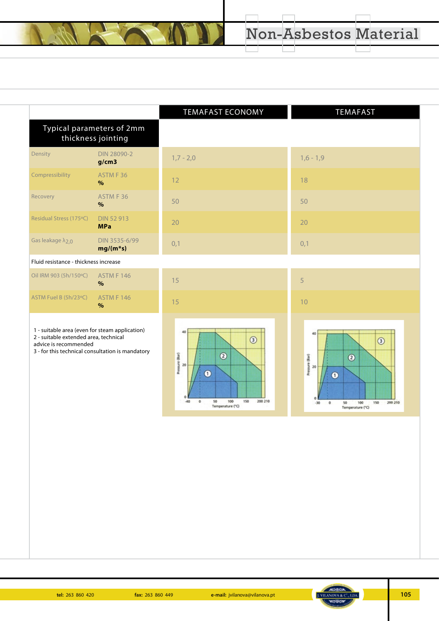|                                                                                                                                                                      |                                                 | <b>TEMAFAST ECONOMY</b>                                                   | <b>TEMAFAST</b>                                                               |
|----------------------------------------------------------------------------------------------------------------------------------------------------------------------|-------------------------------------------------|---------------------------------------------------------------------------|-------------------------------------------------------------------------------|
|                                                                                                                                                                      | Typical parameters of 2mm<br>thickness jointing |                                                                           |                                                                               |
| Density                                                                                                                                                              | DIN 28090-2<br>g/cm3                            | $1,7 - 2,0$                                                               | $1,6 - 1,9$                                                                   |
| Compressibility                                                                                                                                                      | ASTM F 36<br>$\%$                               | 12                                                                        | 18                                                                            |
| Recovery                                                                                                                                                             | ASTM F 36<br>$\frac{9}{6}$                      | 50                                                                        | 50                                                                            |
| Residual Stress (175°C)                                                                                                                                              | <b>DIN 52 913</b><br><b>MPa</b>                 | 20                                                                        | 20                                                                            |
| Gas leakage $\lambda_{2,0}$                                                                                                                                          | DIN 3535-6/99<br>$mg/(m*s)$                     | 0,1                                                                       | 0,1                                                                           |
| Fluid resistance - thickness increase                                                                                                                                |                                                 |                                                                           |                                                                               |
| Oil IRM 903 (5h/150°C)                                                                                                                                               | <b>ASTM F 146</b><br>$\frac{9}{6}$              | 15                                                                        | 5                                                                             |
| ASTM Fuel B (5h/23°C)                                                                                                                                                | <b>ASTM F 146</b><br>$\%$                       | 15                                                                        | 10                                                                            |
| 1 - suitable area (even for steam application)<br>2 - suitable extended area, technical<br>advice is recommended<br>3 - for this technical consultation is mandatory |                                                 | 40<br>$\circledcirc$<br>Pressure (Bar)<br>$\circledcirc$<br>20<br>$\odot$ | 40<br>$\circledcirc$<br>(Bar)<br>$\circledcirc$<br>Pressure<br>20<br>$\Omega$ |

 $\odot$ 

50 100<br>Temperature (°C)

200 210

150

 $0.6$ 

 $\overline{\phantom{a}}$ 

 $\bullet$ 

 $\circ$ 

50 100 150 200 210<br>Temperature (°C)

 $\frac{1}{\omega}$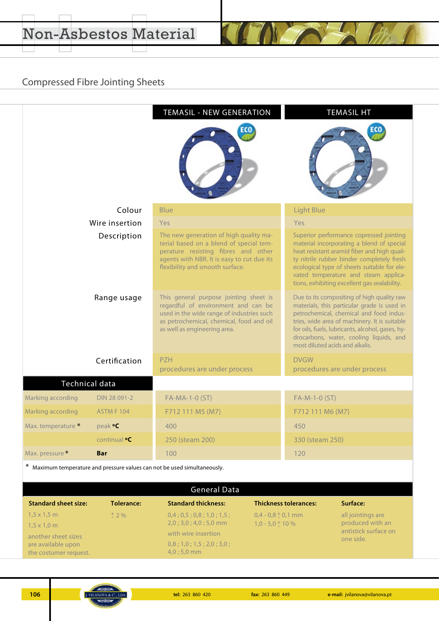# Compressed Fibre Jointing Sheets

|                       |                     | <b>TEMASIL - NEW GENERATION</b>                                                                                                                                                                           | <b>TEMASIL HT</b>                                                                                                                                                                                                                                                                                                       |
|-----------------------|---------------------|-----------------------------------------------------------------------------------------------------------------------------------------------------------------------------------------------------------|-------------------------------------------------------------------------------------------------------------------------------------------------------------------------------------------------------------------------------------------------------------------------------------------------------------------------|
|                       |                     |                                                                                                                                                                                                           |                                                                                                                                                                                                                                                                                                                         |
|                       | Colour              | <b>Blue</b>                                                                                                                                                                                               | <b>Light Blue</b>                                                                                                                                                                                                                                                                                                       |
|                       | Wire insertion      | Yes                                                                                                                                                                                                       | Yes                                                                                                                                                                                                                                                                                                                     |
|                       | Description         | The new generation of high quality ma-<br>terial based on a blend of special tem-<br>perature resisting fibres and other<br>agents with NBR. It is easy to cut due its<br>flexibility and smooth surface. | Superior performance copressed jointing<br>material incorporating a blend of special<br>heat resistant aramid fiber and high quali-<br>ty nitrile rubber binder completely fresh<br>ecological type of sheets suitable for ele-<br>vated temperature and steam applica-<br>tions, exhibiting excellent gas sealability. |
|                       | Range usage         | This general purpose jointing sheet is<br>regardful of environment and can be<br>used in the wide range of industries such<br>as petrochemical, chemical, food and oil<br>as well as engineering area.    | Due to its compositing of high quality raw<br>materials, this particular grade is used in<br>petrochemical, chemical and food indus-<br>tries, wide area of machinery. It is suitable<br>for oils, fuels, lubricants, alcohol, gases, hy-<br>drocarbons, water, cooling liquids, and<br>most diluted acids and alkalis. |
|                       | Certification       | <b>PZH</b><br>procedures are under process                                                                                                                                                                | <b>DVGW</b><br>procedures are under process                                                                                                                                                                                                                                                                             |
| <b>Technical data</b> |                     |                                                                                                                                                                                                           |                                                                                                                                                                                                                                                                                                                         |
| Marking according     | DIN 28 091-2        | FA-MA-1-0 (ST)                                                                                                                                                                                            | FA-M-1-0 (ST)                                                                                                                                                                                                                                                                                                           |
| Marking according     | <b>ASTM F 104</b>   | F712 111 M5 (M7)                                                                                                                                                                                          | F712 111 M6 (M7)                                                                                                                                                                                                                                                                                                        |
| Max. temperature *    | peak <b>°C</b>      | 400                                                                                                                                                                                                       | 450                                                                                                                                                                                                                                                                                                                     |
|                       | continual <b>.C</b> | 250 (steam 200)                                                                                                                                                                                           | 330 (steam 250)                                                                                                                                                                                                                                                                                                         |
|                       |                     |                                                                                                                                                                                                           |                                                                                                                                                                                                                                                                                                                         |

| <b>General Data</b>                         |            |                                      |                              |                                          |  |  |  |  |  |  |
|---------------------------------------------|------------|--------------------------------------|------------------------------|------------------------------------------|--|--|--|--|--|--|
| <b>Standard sheet size:</b>                 | Tolerance: | <b>Standard thickness:</b>           | <b>Thickness tolerances:</b> | Surface:                                 |  |  |  |  |  |  |
| $1,5 \times 1,5$ m                          | $+$ 2 %    | 0,4;0,5;0,8;1,0;1,5;                 | $0.4 - 0.8 \pm 0.1$ mm       | all jointings are                        |  |  |  |  |  |  |
| $1,5 \times 1,0 \; m$                       |            | $2,0;3,0;4,0;5,0$ mm                 | $1.0 - 5.0 + 10%$            | produced with an<br>antistick surface on |  |  |  |  |  |  |
| another sheet sizes                         |            | with wire insertion                  |                              | one side.                                |  |  |  |  |  |  |
| are available upon<br>the costumer request. |            | 0,8;1,0;1,5;2,0;3,0;<br>$4,0;5,0$ mm |                              |                                          |  |  |  |  |  |  |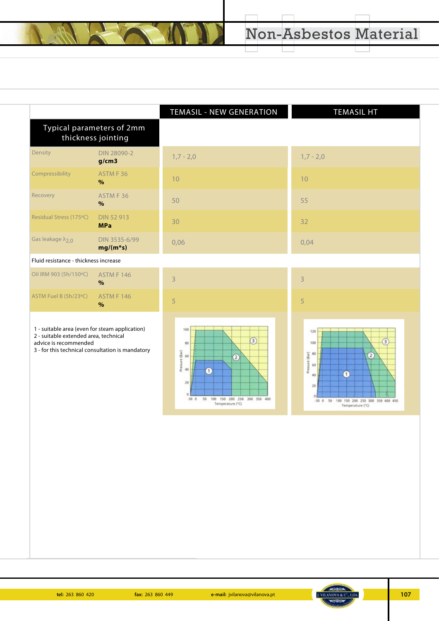|                                                                                                                                                                      | Typical parameters of 2mm<br>thickness jointing | TEMASIL - NEW GENERATION                                                                                                                                        | <b>TEMASIL HT</b>                                                                                                                                                          |
|----------------------------------------------------------------------------------------------------------------------------------------------------------------------|-------------------------------------------------|-----------------------------------------------------------------------------------------------------------------------------------------------------------------|----------------------------------------------------------------------------------------------------------------------------------------------------------------------------|
| Density                                                                                                                                                              | <b>DIN 28090-2</b><br>g/cm3                     | $1,7 - 2,0$                                                                                                                                                     | $1,7 - 2,0$                                                                                                                                                                |
| Compressibility                                                                                                                                                      | ASTM F 36<br>%                                  | 10                                                                                                                                                              | 10                                                                                                                                                                         |
| Recovery                                                                                                                                                             | ASTM F 36<br>$\%$                               | 50                                                                                                                                                              | 55                                                                                                                                                                         |
| Residual Stress (175°C)                                                                                                                                              | <b>DIN 52 913</b><br><b>MPa</b>                 | 30                                                                                                                                                              | 32                                                                                                                                                                         |
| Gas leakage $\lambda_{2,0}$                                                                                                                                          | DIN 3535-6/99<br>$mg/(m*s)$                     | 0,06                                                                                                                                                            | 0,04                                                                                                                                                                       |
| Fluid resistance - thickness increase                                                                                                                                |                                                 |                                                                                                                                                                 |                                                                                                                                                                            |
| Oil IRM 903 (5h/150°C)                                                                                                                                               | <b>ASTM F 146</b><br>$\%$                       | $\overline{3}$                                                                                                                                                  | 3                                                                                                                                                                          |
| ASTM Fuel B (5h/23°C)                                                                                                                                                | <b>ASTM F 146</b><br>$\%$                       | 5                                                                                                                                                               | 5                                                                                                                                                                          |
| 1 - suitable area (even for steam application)<br>2 - suitable extended area, technical<br>advice is recommended<br>3 - for this technical consultation is mandatory |                                                 | 100<br>$\circled{3}$<br>80<br>Pressure (Bar)<br>60<br>$\circled{2}$<br>40<br>$\bullet$<br>20<br>50<br>100 150 200 250 300 350 400<br>$-300$<br>Temperature (°C) | 120<br>$\left(3\right)$<br>100<br>Pressure (Bar)<br>80<br>$\left( 2\right)$<br>60<br>ω<br>40<br>20<br>50<br>100 150 200 250 300 350 400 450<br>$-30.0$<br>Temperature (°C) |

 $\overline{\phantom{a}}$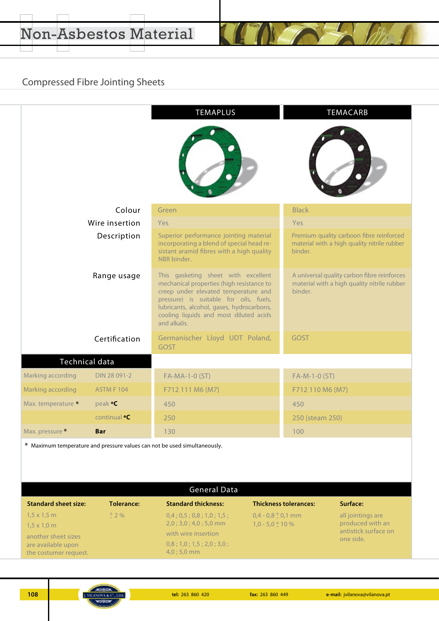# Compressed Fibre Jointing Sheets

|                             |                     | <b>TEMAPLUS</b>                                                                                                                                                                                                                                                           |                              | TEMACARB                                                                                   |  |  |  |  |  |
|-----------------------------|---------------------|---------------------------------------------------------------------------------------------------------------------------------------------------------------------------------------------------------------------------------------------------------------------------|------------------------------|--------------------------------------------------------------------------------------------|--|--|--|--|--|
|                             |                     |                                                                                                                                                                                                                                                                           |                              |                                                                                            |  |  |  |  |  |
|                             | Colour              | Green                                                                                                                                                                                                                                                                     | <b>Black</b>                 |                                                                                            |  |  |  |  |  |
|                             | Wire insertion      | Yes                                                                                                                                                                                                                                                                       | Yes                          |                                                                                            |  |  |  |  |  |
|                             | Description         | Superior performance jointing material<br>incorporating a blend of special head re-<br>sistant aramid fibres with a high quality<br>NBR binder.                                                                                                                           | binder.                      | Premium quality carboon fibre reinforced<br>material with a high quality nitrile rubber    |  |  |  |  |  |
|                             | Range usage         | This gasketing sheet with excellent<br>mechanical properties (high resistance to<br>creep under elevated temperature and<br>pressure) is suitable for oils, fuels,<br>lubricants, alcohol, gases, hydrocarbons,<br>cooling liquids and most diluted acids<br>and alkalis. | binder.                      | A universal quality carbon fibre reinforces<br>material with a high quality nitrile rubber |  |  |  |  |  |
|                             | Certification       | Germanischer Lloyd UDT Poland,<br><b>GOST</b>                                                                                                                                                                                                                             | <b>GOST</b>                  |                                                                                            |  |  |  |  |  |
|                             | Technical data      |                                                                                                                                                                                                                                                                           |                              |                                                                                            |  |  |  |  |  |
| Marking according           | DIN 28 091-2        | FA-MA-1-0 (ST)                                                                                                                                                                                                                                                            |                              | FA-M-1-0 (ST)                                                                              |  |  |  |  |  |
| Marking according           | ASTM F 104          | F712 111 M6 (M7)                                                                                                                                                                                                                                                          |                              | F712 110 M6 (M7)                                                                           |  |  |  |  |  |
| Max. temperature *          | peak <b>°C</b>      | 450                                                                                                                                                                                                                                                                       | 450                          |                                                                                            |  |  |  |  |  |
|                             | continual <b>.C</b> | 250                                                                                                                                                                                                                                                                       |                              | 250 (steam 250)                                                                            |  |  |  |  |  |
| Max. pressure *             | <b>Bar</b>          | 130                                                                                                                                                                                                                                                                       | 100                          |                                                                                            |  |  |  |  |  |
|                             |                     | * Maximum temperature and pressure values can not be used simultaneously.<br><b>General Data</b>                                                                                                                                                                          |                              |                                                                                            |  |  |  |  |  |
| <b>Standard sheet size:</b> | <b>Tolerance:</b>   | <b>Standard thickness:</b>                                                                                                                                                                                                                                                | <b>Thickness tolerances:</b> | Surface:                                                                                   |  |  |  |  |  |
| $1,5 \times 1,5$ m          | $±$ 2 %             | 0,4;0,5;0,8;1,0;1,5;                                                                                                                                                                                                                                                      | $0,4 - 0,8 \pm 0,1$ mm       | all jointings are                                                                          |  |  |  |  |  |
| $1,5 \times 1,0 \text{ m}$  |                     | $2,0;3,0;4,0;5,0$ mm                                                                                                                                                                                                                                                      | $1,0 - 5,0 + 10%$            | produced with an                                                                           |  |  |  |  |  |
|                             |                     | with wire insertion                                                                                                                                                                                                                                                       |                              | antistick surface on                                                                       |  |  |  |  |  |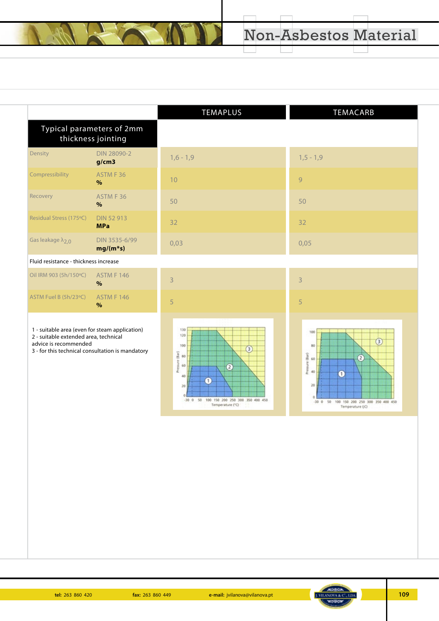|                                                                                                                                                                      |                                                 | TEMAPLUS                                                                                                                                                                                 | TEMACARB                                                                                                                                 |
|----------------------------------------------------------------------------------------------------------------------------------------------------------------------|-------------------------------------------------|------------------------------------------------------------------------------------------------------------------------------------------------------------------------------------------|------------------------------------------------------------------------------------------------------------------------------------------|
|                                                                                                                                                                      | Typical parameters of 2mm<br>thickness jointing |                                                                                                                                                                                          |                                                                                                                                          |
| Density                                                                                                                                                              | <b>DIN 28090-2</b><br>g/cm3                     | $1,6 - 1,9$                                                                                                                                                                              | $1,5 - 1,9$                                                                                                                              |
| Compressibility                                                                                                                                                      | ASTM F 36<br>$\%$                               | 10                                                                                                                                                                                       | 9                                                                                                                                        |
| Recovery                                                                                                                                                             | ASTM F 36<br>$\%$                               | 50                                                                                                                                                                                       | 50                                                                                                                                       |
| Residual Stress (175°C)                                                                                                                                              | <b>DIN 52 913</b><br><b>MPa</b>                 | 32                                                                                                                                                                                       | 32                                                                                                                                       |
| Gas leakage $\lambda_{2,0}$                                                                                                                                          | DIN 3535-6/99<br>$mg/(m*s)$                     | 0,03                                                                                                                                                                                     | 0,05                                                                                                                                     |
| Fluid resistance - thickness increase                                                                                                                                |                                                 |                                                                                                                                                                                          |                                                                                                                                          |
| Oil IRM 903 (5h/150°C)                                                                                                                                               | <b>ASTM F 146</b><br>$\%$                       | 3                                                                                                                                                                                        | 3                                                                                                                                        |
| ASTM Fuel B (5h/23°C)                                                                                                                                                | <b>ASTM F 146</b><br>$\%$                       | 5                                                                                                                                                                                        | 5                                                                                                                                        |
| 1 - suitable area (even for steam application)<br>2 - suitable extended area, technical<br>advice is recommended<br>3 - for this technical consultation is mandatory |                                                 | 130<br>120<br>100<br>$\mathbf{3}$<br>essure (Bar)<br>80<br>60<br>$\overline{c}$<br>£<br>40<br>$\mathbf{1}$<br>20<br>100 150 200 250 300 350 400 450<br>50<br>$-30.0$<br>Temperature (°C) | 100<br>$\circled{3}$<br>80<br>Pressure (Bar)<br>2<br>60<br>40<br>0<br>20<br>-30 0 50 100 150 200 250 300 350 400 450<br>Temperature (iC) |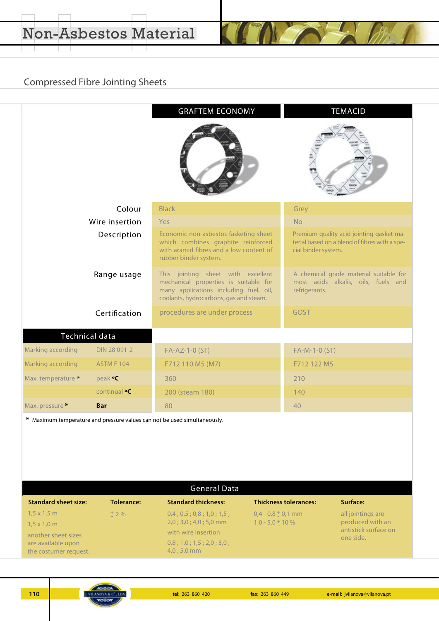# Compressed Fibre Jointing Sheets

|                    |                     | <b>GRAFTEM ECONOMY</b>                                                                                                                                          | <b>TEMACID</b>                                                                                                   |  |  |  |  |
|--------------------|---------------------|-----------------------------------------------------------------------------------------------------------------------------------------------------------------|------------------------------------------------------------------------------------------------------------------|--|--|--|--|
|                    |                     |                                                                                                                                                                 |                                                                                                                  |  |  |  |  |
|                    | Colour              | <b>Black</b>                                                                                                                                                    | Grey                                                                                                             |  |  |  |  |
|                    | Wire insertion      | Yes                                                                                                                                                             | <b>No</b>                                                                                                        |  |  |  |  |
|                    | Description         | Economic non-asbestos fasketing sheet<br>which combines graphite reinforced<br>with aramid fibres and a low content of<br>rubber binder system.                 | Premium quality acid jointing gasket ma-<br>terial based on a blend of fibres with a spe-<br>cial binder system. |  |  |  |  |
|                    | Range usage         | This jointing sheet with excellent<br>mechanical properties is suitable for<br>many applications including fuel, oil,<br>coolants, hydrocarbons, gas and steam. | A chemical grade material suitable for<br>most acids alkalis, oils, fuels and<br>refrigerants.                   |  |  |  |  |
|                    | Certification       | procedures are under process                                                                                                                                    | <b>GOST</b>                                                                                                      |  |  |  |  |
|                    | Technical data      |                                                                                                                                                                 |                                                                                                                  |  |  |  |  |
| Marking according  | DIN 28 091-2        | FA-AZ-1-0 (ST)                                                                                                                                                  | FA-M-1-0 (ST)                                                                                                    |  |  |  |  |
| Marking according  | <b>ASTM F 104</b>   | F712 110 M5 (M7)                                                                                                                                                | F712 122 M5                                                                                                      |  |  |  |  |
| Max. temperature * | peak <b>°C</b>      | 360                                                                                                                                                             | 210                                                                                                              |  |  |  |  |
|                    | continual <b>°C</b> | 200 (steam 180)                                                                                                                                                 | 140                                                                                                              |  |  |  |  |
| Max. pressure *    | <b>Bar</b>          | 80                                                                                                                                                              | 40                                                                                                               |  |  |  |  |
|                    |                     |                                                                                                                                                                 |                                                                                                                  |  |  |  |  |

Maximum temperature and pressure values can not be used simultaneously. \*

| <b>General Data</b>                          |            |                                              |                                                 |                                       |  |  |  |  |  |  |
|----------------------------------------------|------------|----------------------------------------------|-------------------------------------------------|---------------------------------------|--|--|--|--|--|--|
| <b>Standard sheet size:</b>                  | Tolerance: | <b>Standard thickness:</b>                   | <b>Thickness tolerances:</b>                    | Surface:                              |  |  |  |  |  |  |
| $1,5 \times 1,5$ m                           | $+2\%$     | 0,4;0,5;0,8;1,0;1,5;<br>$2,0;3,0;4,0;5,0$ mm | $0.4 - 0.8 \pm 0.1$ mm<br>$1.0 - 5.0 \pm 10 \%$ | all jointings are<br>produced with an |  |  |  |  |  |  |
| $1,5 \times 1,0 \; m$<br>another sheet sizes |            | with wire insertion                          |                                                 | antistick surface on<br>one side.     |  |  |  |  |  |  |
| are available upon<br>the costumer request.  |            | 0,8;1,0;1,5;2,0;3,0;<br>$4,0;5,0$ mm         |                                                 |                                       |  |  |  |  |  |  |

**110 fax:** 263 860 420 **fax:** 263 860 420 **fax:** 263 860 449 **e-mail:** jvilanova@vilanova.pt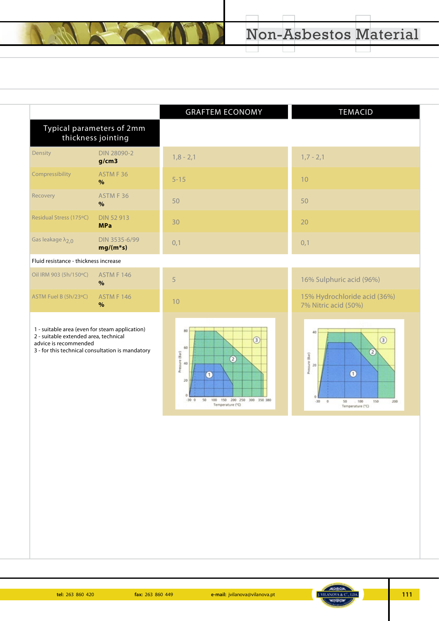|                                       |                                                 | <b>GRAFTEM ECONOMY</b> | <b>TEMACID</b>                                       |
|---------------------------------------|-------------------------------------------------|------------------------|------------------------------------------------------|
|                                       | Typical parameters of 2mm<br>thickness jointing |                        |                                                      |
| Density                               | DIN 28090-2<br>g/cm3                            | $1,8 - 2,1$            | $1,7 - 2,1$                                          |
| Compressibility                       | ASTM F 36<br>$\%$                               | $5 - 15$               | 10                                                   |
| Recovery                              | ASTM F 36<br>%                                  | 50                     | 50                                                   |
| Residual Stress (175°C)               | <b>DIN 52 913</b><br><b>MPa</b>                 | 30                     | 20                                                   |
| Gas leakage $\lambda_{2,0}$           | DIN 3535-6/99<br>$mg/(m*s)$                     | 0,1                    | 0,1                                                  |
| Fluid resistance - thickness increase |                                                 |                        |                                                      |
| Oil IRM 903 (5h/150°C)                | <b>ASTM F 146</b><br>$\%$                       | 5                      | 16% Sulphuric acid (96%)                             |
| ASTM Fuel B (5h/23°C)                 | <b>ASTM F 146</b><br>$\%$                       | 10                     | 15% Hydrochloride acid (36%)<br>7% Nitric acid (50%) |
|                                       |                                                 |                        |                                                      |



advice is recommended

3 - for this technical consultation is mandatory





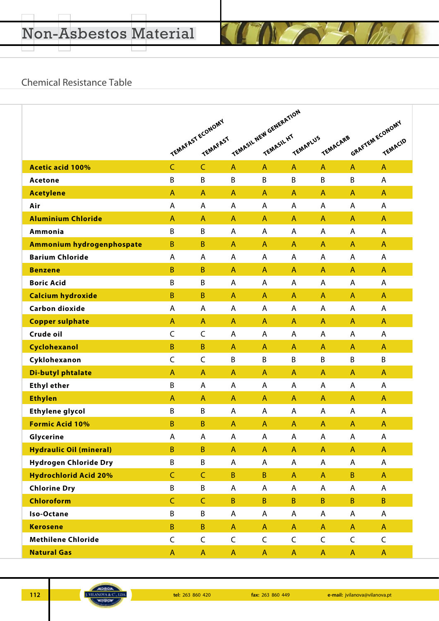### Chemical Resistance Table

|                                | TEMASIL NEW GENERATION<br>TEMAFAST ECONOMY |                 |             |              |                |              |              |                            |
|--------------------------------|--------------------------------------------|-----------------|-------------|--------------|----------------|--------------|--------------|----------------------------|
|                                |                                            | <b>TEMAFAST</b> |             |              | TEMAPLUS       | TENACARB     |              | GRAFTEM ECONOMY<br>TEMACID |
|                                |                                            |                 |             |              |                |              |              |                            |
| <b>Acetic acid 100%</b>        | $\mathsf{C}$                               | $\mathsf{C}$    | A           | $\mathsf{A}$ | $\mathsf{A}$   | $\mathsf{A}$ | $\mathsf{A}$ | $\mathsf{A}$               |
| <b>Acetone</b>                 | B                                          | B               | B           | B            | B              | B            | B            | A                          |
| <b>Acetylene</b>               | A                                          | A               | A           | A            | A              | A            | A            | A                          |
| Air                            | A                                          | A               | Α           | Α            | A              | A            | A            | A                          |
| <b>Aluminium Chloride</b>      | A                                          | A               | A           | A            | A              | A            | A            | A                          |
| Ammonia                        | B                                          | B               | Α           | A            | A              | A            | A            | A                          |
| Ammonium hydrogenphospate      | $\mathsf B$                                | $\mathsf B$     | A           | A            | $\mathsf{A}$   | A            | $\mathsf{A}$ | A                          |
| <b>Barium Chloride</b>         | A                                          | A               | Α           | A            | A              | A            | A            | A                          |
| <b>Benzene</b>                 | $\mathsf B$                                | $\mathsf B$     | A           | A            | $\overline{A}$ | A            | $\mathsf{A}$ | A                          |
| <b>Boric Acid</b>              | B                                          | B               | Α           | A            | Α              | A            | A            | Α                          |
| <b>Calcium hydroxide</b>       | $\mathsf B$                                | B               | A           | $\mathsf{A}$ | $\mathsf{A}$   | $\mathsf{A}$ | A            | A                          |
| <b>Carbon dioxide</b>          | A                                          | A               | Α           | A            | A              | A            | A            | A                          |
| <b>Copper sulphate</b>         | A                                          | A               | A           | $\mathsf{A}$ | A              | A            | A            | A                          |
| Crude oil                      | $\mathsf C$                                | C               | Α           | A            | A              | A            | A            | A                          |
| Cyclohexanol                   | $\mathsf B$                                | $\mathsf B$     | A           | A            | A              | A            | A            | A                          |
| Cyklohexanon                   | $\mathsf{C}$                               | C               | B           | B            | B              | B            | B            | B                          |
| <b>Di-butyl phtalate</b>       | A                                          | A               | A           | A            | $\mathsf{A}$   | $\mathsf{A}$ | A            | $\mathsf{A}$               |
| <b>Ethyl ether</b>             | B                                          | A               | А           | A            | A              | A            | A            | A                          |
| <b>Ethylen</b>                 | $\mathsf{A}$                               | $\mathsf{A}$    | A           | $\mathsf{A}$ | $\mathsf{A}$   | $\mathsf{A}$ | $\mathsf{A}$ | $\mathsf{A}$               |
| <b>Ethylene glycol</b>         | B                                          | B               | A           | A            | A              | A            | A            | Α                          |
| <b>Formic Acid 10%</b>         | B                                          | B               | A           | A            | A              | A            | A            | A                          |
| Glycerine                      | A                                          | A               | A           | A            | A              | $\sf A$      | $\mathsf{A}$ | A                          |
| <b>Hydraulic Oil (mineral)</b> | $\overline{B}$                             | $\sf B$         | A           | $\mathsf{A}$ | $\mathsf{A}$   | $\mathsf{A}$ | $\mathsf{A}$ | $\mathsf{A}$               |
| <b>Hydrogen Chloride Dry</b>   | B                                          | B               | Α           | A            | A              | A            | A            | A                          |
| <b>Hydrochlorid Acid 20%</b>   | $\mathsf{C}$                               | $\mathsf{C}$    | B           | B            | $\mathsf{A}$   | $\mathsf{A}$ | $\, {\bf B}$ | A                          |
| <b>Chlorine Dry</b>            | B                                          | B               | Α           | A            | A              | A            | A            | A                          |
| Chloroform                     | $\mathsf{C}$                               | $\mathsf C$     | $\sf B$     | $\sf B$      | $\mathsf{B}$   | $\sf B$      | $\mathsf B$  | $\overline{B}$             |
| Iso-Octane                     | B                                          | B               | А           | A            | A              | A            | A            | A                          |
| <b>Kerosene</b>                | $\sf B$                                    | $\sf B$         | $\mathsf A$ | $\mathsf{A}$ | $\mathsf{A}$   | $\mathsf{A}$ | $\mathsf{A}$ | $\mathsf{A}$               |
| <b>Methilene Chloride</b>      | $\mathsf C$                                | $\mathsf C$     | C           | $\mathsf C$  | $\mathsf C$    | $\mathsf C$  | $\mathsf C$  | $\mathsf C$                |
| <b>Natural Gas</b>             | A                                          | A               | A           | $\mathsf{A}$ | $\mathsf{A}$   | $\mathsf{A}$ | $\mathsf{A}$ | $\mathsf{A}$               |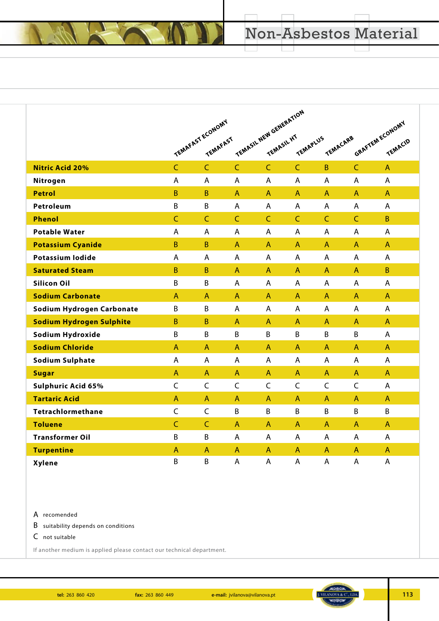|                                 |                |                                     | TEMASIL NEW GENERATION |                |                |                |                |                 |  |  |
|---------------------------------|----------------|-------------------------------------|------------------------|----------------|----------------|----------------|----------------|-----------------|--|--|
|                                 |                | TEMAFAST ECONOMY<br><b>TEMAFAST</b> |                        |                | TEMAPLUS       | TEMACARB       |                | GRAFTEM ECONOMY |  |  |
|                                 |                |                                     |                        |                |                |                |                | TEMACIO         |  |  |
| <b>Nitric Acid 20%</b>          | $\overline{C}$ | $\overline{C}$                      | $\mathsf{C}$           | $\mathsf{C}$   | $\overline{C}$ | $\overline{B}$ | $\mathsf{C}$   | $\overline{A}$  |  |  |
| Nitrogen                        | A              | A                                   | $\overline{A}$         | $\overline{A}$ | A              | $\overline{A}$ | $\overline{A}$ | $\overline{A}$  |  |  |
| <b>Petrol</b>                   | B              | B                                   | $\mathsf{A}$           | $\mathsf{A}$   | A              | $\mathsf{A}$   | $\mathsf{A}$   | $\mathsf{A}$    |  |  |
| Petroleum                       | B              | B                                   | A                      | A              | A              | A              | A              | $\mathsf{A}$    |  |  |
| <b>Phenol</b>                   | $\mathsf{C}$   | $\mathsf{C}$                        | $\mathsf{C}$           | $\overline{C}$ | $\overline{C}$ | $\mathsf{C}$   | $\mathsf{C}$   | B               |  |  |
| <b>Potable Water</b>            | A              | A                                   | A                      | A              | A              | A              | A              | A               |  |  |
| <b>Potassium Cyanide</b>        | $\sf B$        | $\sf B$                             | $\mathsf{A}$           | $\overline{A}$ | A              | $\mathsf{A}$   | $\mathsf{A}$   | $\mathsf{A}$    |  |  |
| <b>Potassium Iodide</b>         | A              | A                                   | $\overline{A}$         | $\overline{A}$ | A              | A              | $\overline{A}$ | $\overline{A}$  |  |  |
| <b>Saturated Steam</b>          | $\mathsf B$    | B                                   | $\mathsf{A}$           | $\mathsf{A}$   | A              | $\mathsf{A}$   | $\mathsf{A}$   | B               |  |  |
| <b>Silicon Oil</b>              | B              | B                                   | A                      | A              | A              | A              | A              | A               |  |  |
| <b>Sodium Carbonate</b>         | $\overline{A}$ | $\overline{A}$                      | $\overline{A}$         | $\overline{A}$ | A              | $\overline{A}$ | $\overline{A}$ | $\overline{A}$  |  |  |
| Sodium Hydrogen Carbonate       | B              | B                                   | $\overline{A}$         | $\mathsf{A}$   | A              | A              | $\mathsf{A}$   | $\mathsf{A}$    |  |  |
| <b>Sodium Hydrogen Sulphite</b> | B              | B                                   | $\mathsf{A}$           | $\mathsf{A}$   | $\mathsf{A}$   | $\mathsf{A}$   | $\mathsf{A}$   | $\mathsf{A}$    |  |  |
| Sodium Hydroxide                | B              | B                                   | B                      | B              | B              | B              | B              | A               |  |  |
| <b>Sodium Chloride</b>          | $\overline{A}$ | A                                   | $\mathsf{A}$           | $\mathsf{A}$   | A              | $\mathsf{A}$   | $\mathsf{A}$   | $\mathsf{A}$    |  |  |
| <b>Sodium Sulphate</b>          | A              | A                                   | $\overline{A}$         | $\overline{A}$ | A              | A              | A              | A               |  |  |
| <b>Sugar</b>                    | $\overline{A}$ | A                                   | $\mathsf{A}$           | $\mathsf{A}$   | A              | $\mathsf{A}$   | $\mathsf{A}$   | $\overline{A}$  |  |  |
| Sulphuric Acid 65%              | $\mathsf C$    | $\mathsf C$                         | $\mathsf{C}$           | $\mathsf{C}$   | $\mathsf{C}$   | $\mathsf C$    | $\mathsf{C}$   | A               |  |  |
| <b>Tartaric Acid</b>            | $\overline{A}$ | A                                   | $\overline{A}$         | $\mathsf{A}$   | A              | $\overline{A}$ | $\overline{A}$ | $\mathsf{A}$    |  |  |
| Tetrachlormethane               | $\mathsf C$    | $\mathsf C$                         | B                      | B              | B              | B              | B              | B               |  |  |
| <b>Toluene</b>                  | $\mathsf{C}$   | $\mathsf{C}$                        | $\mathsf{A}$           | $\mathsf{A}$   | A              | $\mathsf{A}$   | $\mathsf{A}$   | $\mathsf{A}$    |  |  |
| <b>Transformer Oil</b>          | B              | B                                   | A                      | A              | A              | A              | A              | A               |  |  |
| <b>Turpentine</b>               | $\overline{A}$ | A                                   | $\mathsf{A}$           | $\mathsf{A}$   | A              | $\mathsf{A}$   | $\mathsf{A}$   | $\overline{A}$  |  |  |
| <b>Xylene</b>                   | B              | B                                   | A                      | $\overline{A}$ | A              | A              | $\overline{A}$ | A               |  |  |

#### A recomended

B suitability depends on conditions

C not suitable

If another medium is applied please contact our technical department.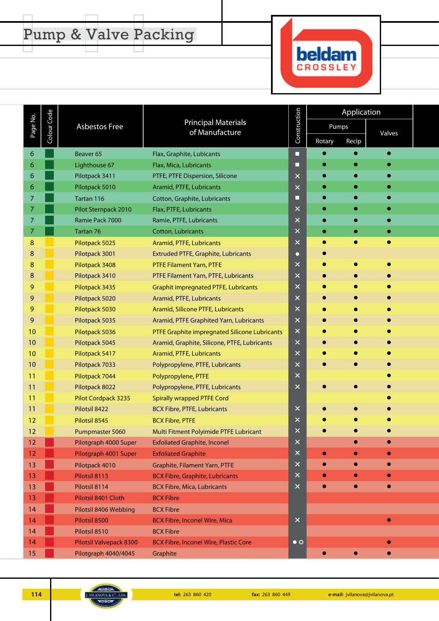# Pump & Valve Packing

 $\Box$ 

 $\Box$ 

 $\Box$ 



|                |             |                         |                                               |                |           | Application |           |  |
|----------------|-------------|-------------------------|-----------------------------------------------|----------------|-----------|-------------|-----------|--|
| Page No.       | Colour Code | <b>Asbestos Free</b>    | <b>Principal Materials</b><br>of Manufacture  | Construction   | Pumps     |             | Valves    |  |
|                |             |                         |                                               |                | Rotary    | Recip       |           |  |
| 6              |             | Beaver <sub>65</sub>    | Flax, Graphite, Lubicants                     | □              |           |             |           |  |
| 6              |             | Lighthouse 67           | Flax, Mica, Lubricants                        | П              |           |             |           |  |
| 6              |             | Pilotpack 3411          | PTFE, PTFE Dispersion, Silicone               | $\pmb{\times}$ |           |             |           |  |
| 6              |             | Pilotpack 5010          | Aramid, PTFE, Lubricants                      | $\times$       |           |             |           |  |
| $\overline{7}$ |             | Tartan 116              | Cotton, Graphite, Lubricants                  | П              |           |             |           |  |
| $\overline{7}$ |             | Pilot Sternpack 2010    | Flax, PTFE, Lubricants                        | $\times$       |           |             |           |  |
| 7              |             | Ramie Pack 7000         | Ramie, PTFE, Lubricants                       | $\times$       |           |             |           |  |
| 7              |             | Tartan 76               | Cotton, Lubricants                            | $\times$       |           |             |           |  |
| $\bf 8$        |             | Pilotpack 5025          | Aramid, PTFE, Lubricants                      | $\pmb{\times}$ |           |             | ۰         |  |
| 8              |             | Pilotpack 3001          | Extruded PTFE, Graphite, Lubricants           | Ω              |           |             |           |  |
| 8              |             | Pilotpack 3408          | PTFE Filament Yarn, PTFE                      | $\times$       |           |             |           |  |
| 8              |             | Pilotpack 3410          | PTFE Filament Yarn, PTFE, Lubricants          | $\times$       |           |             |           |  |
| 9              |             | Pilotpack 3435          | <b>Graphit impregnated PTFE, Lubricants</b>   | $\times$       |           |             |           |  |
| 9              |             | Pilotpack 5020          | Aramid, PTFE, Lubricants                      | $\pmb{\times}$ |           |             |           |  |
| 9              |             | Pilotpack 5030          | Aramid, Silicone PTFE, Lubricants             | $\times$       |           |             |           |  |
| 9              |             | Pilotpack 5035          | Aramid, PTFE Graphited Yarn, Lubricants       | $\times$       |           |             |           |  |
| 10             |             | Pilotpack 5036          | PTFE Graphite impregnated Silicone Lubricants | $\times$       |           |             |           |  |
| 10             |             | Pilotpack 5045          | Aramid, Graphite, Silicone, PTFE, Lubricants  | $\times$       |           |             |           |  |
| 10             |             | Pilotpack 5417          | Aramid, PTFE, Lubricants                      | $\pmb{\times}$ |           |             |           |  |
| 10             |             | Pilotpack 7033          | Polypropylene, PTFE, Lubricants               | $\times$       |           |             |           |  |
| 11             |             | Pilotpack 7044          | Polypropylene, PTFE                           | $\times$       |           |             |           |  |
| 11             |             | Pilotpack 8022          | Polypropylene, PTFE, Lubricants               | $\times$       |           |             |           |  |
| 11             |             | Pilot Cordpack 3235     | <b>Spirally wrapped PTFE Cord</b>             |                |           |             |           |  |
| 11             |             | Pilotsil 8422           | <b>BCX Fibre, PTFE, Lubricants</b>            | $\times$       |           |             |           |  |
| 12             |             | Pilotsil 8545           | <b>BCX Fibre, PTFE</b>                        | $\times$       |           |             |           |  |
| 12             |             | Pumpmaster 5060         | Multi Fitment Polyimide PTFE Lubricant        | $\times$       |           |             |           |  |
| 12             |             | Pilotgraph 4000 Super   | <b>Exfoliated Graphite, Inconel</b>           | $\times$       |           |             | ۰         |  |
| 12             |             | Pilotgraph 4001 Super   | <b>Exfoliated Graphite</b>                    | $\times$       | $\bullet$ |             |           |  |
| 13             |             | Pilotpack 4010          | Graphite, Filament Yarn, PTFE                 | $\times$       |           |             | $\bullet$ |  |
| 13             |             | Pilotsil 8113           | <b>BCX Fibre, Graphite, Lubricants</b>        | $\times$       |           | $\bullet$   |           |  |
| 13             |             | Pilotsil 8114           | <b>BCX Fibre, Mica, Lubricants</b>            | $\times$       | $\bullet$ | $\bullet$   | $\bullet$ |  |
| 13             |             | Pilotsil 8401 Cloth     | <b>BCX Fibre</b>                              |                |           |             |           |  |
| 14             |             | Pilotsil 8406 Webbing   | <b>BCX Fibre</b>                              |                |           |             |           |  |
| 14             |             | Pilotsil 8500           | <b>BCX Fibre, Inconel Wire, Mica</b>          | $\times$       |           |             | $\bullet$ |  |
| 14             |             | Pilotsil 8510           | <b>BCX Fibre</b>                              |                |           |             |           |  |
| 14             |             | Pilotsil Valvepack 8300 | <b>BCX Fibre, Inconel Wire, Plastic Core</b>  | $\bullet$ O    |           |             |           |  |
| 15             |             | Pilotgraph 4040/4045    | Graphite                                      |                | ۰         |             |           |  |
|                |             |                         |                                               |                |           |             |           |  |